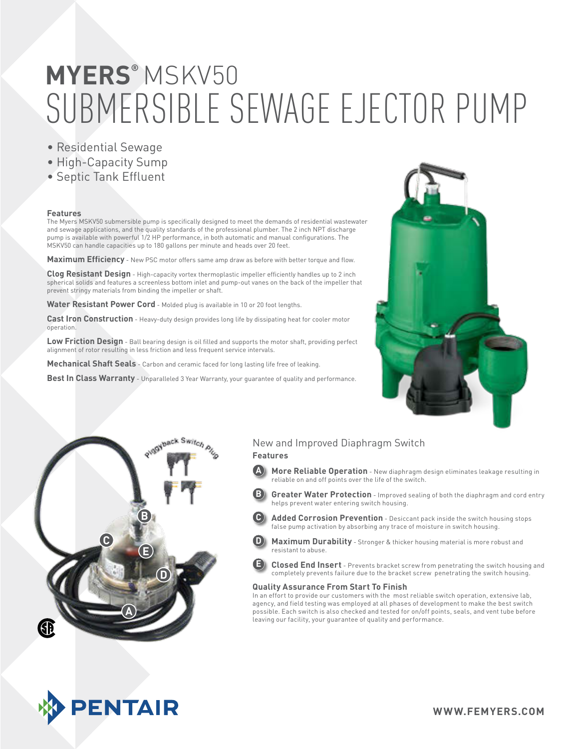# SUBMERSIBLE SEWAGE EJECTOR PUMP **MYERS®** MSKV50

- Residential Sewage
- High-Capacity Sump
- Septic Tank Effluent

#### **Features**

The Myers MSKV50 submersible pump is specifically designed to meet the demands of residential wastewater and sewage applications, and the quality standards of the professional plumber. The 2 inch NPT discharge pump is available with powerful 1/2 HP performance, in both automatic and manual configurations. The MSKV50 can handle capacities up to 180 gallons per minute and heads over 20 feet.

**Maximum Efficiency** - New PSC motor offers same amp draw as before with better torque and flow.

**Clog Resistant Design** - High-capacity vortex thermoplastic impeller efficiently handles up to 2 inch spherical solids and features a screenless bottom inlet and pump-out vanes on the back of the impeller that prevent stringy materials from binding the impeller or shaft.

Water Resistant Power Cord - Molded plug is available in 10 or 20 foot lengths.

**Cast Iron Construction** - Heavy-duty design provides long life by dissipating heat for cooler motor operation.

**Low Friction Design** - Ball bearing design is oil filled and supports the motor shaft, providing perfect alignment of rotor resulting in less friction and less frequent service intervals.

**Mechanical Shaft Seals** - Carbon and ceramic faced for long lasting life free of leaking.

**Best In Class Warranty** - Unparalleled 3 Year Warranty, your guarantee of quality and performance.





**PENTAIR** 

#### New and Improved Diaphragm Switch

#### **Features**

- **A More Reliable Operation** New diaphragm design eliminates leakage resulting in reliable on and off points over the life of the switch.
	- **Greater Water Protection** Improved sealing of both the diaphragm and cord entry helps prevent water entering switch housing.
	- Added Corrosion Prevention Desiccant pack inside the switch housing stops false pump activation by absorbing any trace of moisture in switch housing.
- **D Maximum Durability** Stronger & thicker housing material is more robust and resistant to abuse.
- **E Closed End Insert** Prevents bracket screw from penetrating the switch housing and completely prevents failure due to the bracket screw penetrating the switch housing.

#### **Quality Assurance From Start To Finish**

In an effort to provide our customers with the most reliable switch operation, extensive lab, agency, and field testing was employed at all phases of development to make the best switch possible. Each switch is also checked and tested for on/off points, seals, and vent tube before leaving our facility, your guarantee of quality and performance.